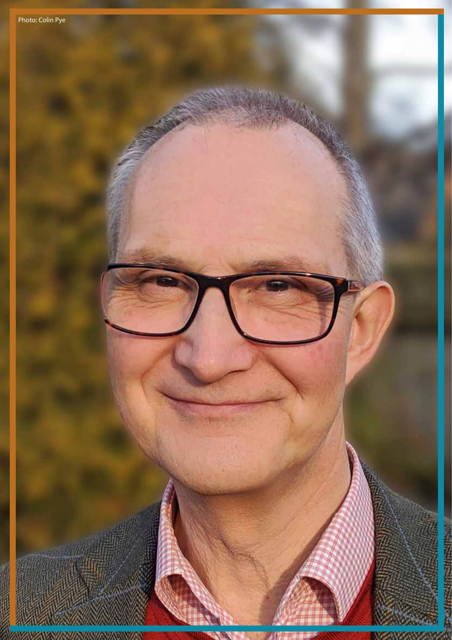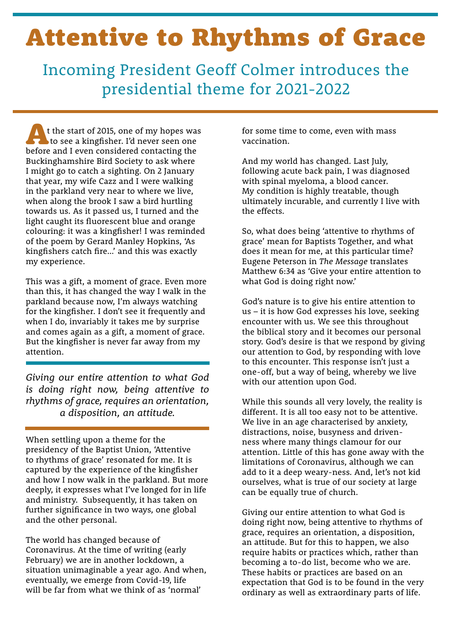## Attentive to Rhythms of Grace

## Incoming President Geoff Colmer introduces the presidential theme for 2021-2022

t the start of 2015, one of my hopes was **the seed as king fisher.** I'd never seen one before and I even considered contacting the Buckinghamshire Bird Society to ask where I might go to catch a sighting. On 2 January that year, my wife Cazz and I were walking in the parkland very near to where we live, when along the brook I saw a bird hurtling towards us. As it passed us, I turned and the light caught its fluorescent blue and orange colouring: it was a kingfisher! I was reminded of the poem by Gerard Manley Hopkins, 'As kingfishers catch fire…' and this was exactly my experience. A<sup>t</sup>

This was a gift, a moment of grace. Even more than this, it has changed the way I walk in the parkland because now, I'm always watching for the kingfisher. I don't see it frequently and when I do, invariably it takes me by surprise and comes again as a gift, a moment of grace. But the kingfisher is never far away from my attention.

*Giving our entire attention to what God is doing right now, being attentive to rhythms of grace, requires an orientation, a disposition, an attitude.*

When settling upon a theme for the presidency of the Baptist Union, 'Attentive to rhythms of grace' resonated for me. It is captured by the experience of the kingfisher and how I now walk in the parkland. But more deeply, it expresses what I've longed for in life and ministry. Subsequently, it has taken on further significance in two ways, one global and the other personal.

The world has changed because of Coronavirus. At the time of writing (early February) we are in another lockdown, a situation unimaginable a year ago. And when, eventually, we emerge from Covid-19, life will be far from what we think of as 'normal'

for some time to come, even with mass vaccination.

And my world has changed. Last July, following acute back pain, I was diagnosed with spinal myeloma, a blood cancer. My condition is highly treatable, though ultimately incurable, and currently I live with the effects.

So, what does being 'attentive to rhythms of grace' mean for Baptists Together, and what does it mean for me, at this particular time? Eugene Peterson in *The Message* translates Matthew 6:34 as 'Give your entire attention to what God is doing right now.'

God's nature is to give his entire attention to us – it is how God expresses his love, seeking encounter with us. We see this throughout the biblical story and it becomes our personal story. God's desire is that we respond by giving our attention to God, by responding with love to this encounter. This response isn't just a one-off, but a way of being, whereby we live with our attention upon God.

While this sounds all very lovely, the reality is different. It is all too easy not to be attentive. We live in an age characterised by anxiety, distractions, noise, busyness and drivenness where many things clamour for our attention. Little of this has gone away with the limitations of Coronavirus, although we can add to it a deep weary-ness. And, let's not kid ourselves, what is true of our society at large can be equally true of church.

Giving our entire attention to what God is doing right now, being attentive to rhythms of grace, requires an orientation, a disposition, an attitude. But for this to happen, we also require habits or practices which, rather than becoming a to-do list, become who we are. These habits or practices are based on an expectation that God is to be found in the very ordinary as well as extraordinary parts of life.